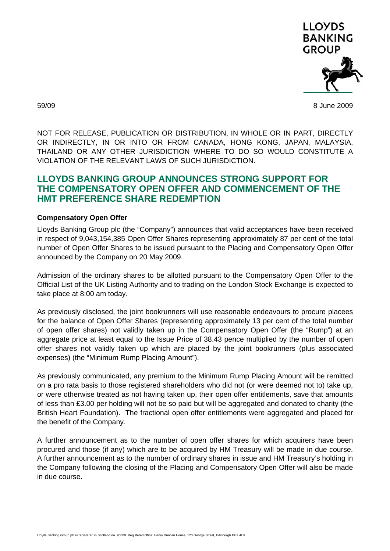

59/09 8 June 2009

NOT FOR RELEASE, PUBLICATION OR DISTRIBUTION, IN WHOLE OR IN PART, DIRECTLY OR INDIRECTLY, IN OR INTO OR FROM CANADA, HONG KONG, JAPAN, MALAYSIA, THAILAND OR ANY OTHER JURISDICTION WHERE TO DO SO WOULD CONSTITUTE A VIOLATION OF THE RELEVANT LAWS OF SUCH JURISDICTION.

## **LLOYDS BANKING GROUP ANNOUNCES STRONG SUPPORT FOR THE COMPENSATORY OPEN OFFER AND COMMENCEMENT OF THE HMT PREFERENCE SHARE REDEMPTION**

## **Compensatory Open Offer**

Lloyds Banking Group plc (the "Company") announces that valid acceptances have been received in respect of 9,043,154,385 Open Offer Shares representing approximately 87 per cent of the total number of Open Offer Shares to be issued pursuant to the Placing and Compensatory Open Offer announced by the Company on 20 May 2009.

Admission of the ordinary shares to be allotted pursuant to the Compensatory Open Offer to the Official List of the UK Listing Authority and to trading on the London Stock Exchange is expected to take place at 8:00 am today.

As previously disclosed, the joint bookrunners will use reasonable endeavours to procure placees for the balance of Open Offer Shares (representing approximately 13 per cent of the total number of open offer shares) not validly taken up in the Compensatory Open Offer (the "Rump") at an aggregate price at least equal to the Issue Price of 38.43 pence multiplied by the number of open offer shares not validly taken up which are placed by the joint bookrunners (plus associated expenses) (the "Minimum Rump Placing Amount").

As previously communicated, any premium to the Minimum Rump Placing Amount will be remitted on a pro rata basis to those registered shareholders who did not (or were deemed not to) take up, or were otherwise treated as not having taken up, their open offer entitlements, save that amounts of less than £3.00 per holding will not be so paid but will be aggregated and donated to charity (the British Heart Foundation). The fractional open offer entitlements were aggregated and placed for the benefit of the Company.

A further announcement as to the number of open offer shares for which acquirers have been procured and those (if any) which are to be acquired by HM Treasury will be made in due course. A further announcement as to the number of ordinary shares in issue and HM Treasury's holding in the Company following the closing of the Placing and Compensatory Open Offer will also be made in due course.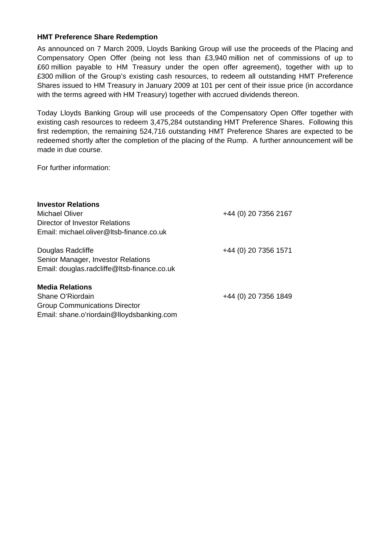## **HMT Preference Share Redemption**

As announced on 7 March 2009, Lloyds Banking Group will use the proceeds of the Placing and Compensatory Open Offer (being not less than £3,940 million net of commissions of up to £60 million payable to HM Treasury under the open offer agreement), together with up to £300 million of the Group's existing cash resources, to redeem all outstanding HMT Preference Shares issued to HM Treasury in January 2009 at 101 per cent of their issue price (in accordance with the terms agreed with HM Treasury) together with accrued dividends thereon.

Today Lloyds Banking Group will use proceeds of the Compensatory Open Offer together with existing cash resources to redeem 3,475,284 outstanding HMT Preference Shares. Following this first redemption, the remaining 524,716 outstanding HMT Preference Shares are expected to be redeemed shortly after the completion of the placing of the Rump. A further announcement will be made in due course.

For further information:

| <b>Investor Relations</b><br>Michael Oliver<br>Director of Investor Relations<br>Email: michael.oliver@ltsb-finance.co.uk       | +44 (0) 20 7356 2167 |
|---------------------------------------------------------------------------------------------------------------------------------|----------------------|
| Douglas Radcliffe<br>Senior Manager, Investor Relations<br>Email: douglas.radcliffe@Itsb-finance.co.uk                          | +44 (0) 20 7356 1571 |
| <b>Media Relations</b><br>Shane O'Riordain<br><b>Group Communications Director</b><br>Email: shane.o'riordain@lloydsbanking.com | +44 (0) 20 7356 1849 |